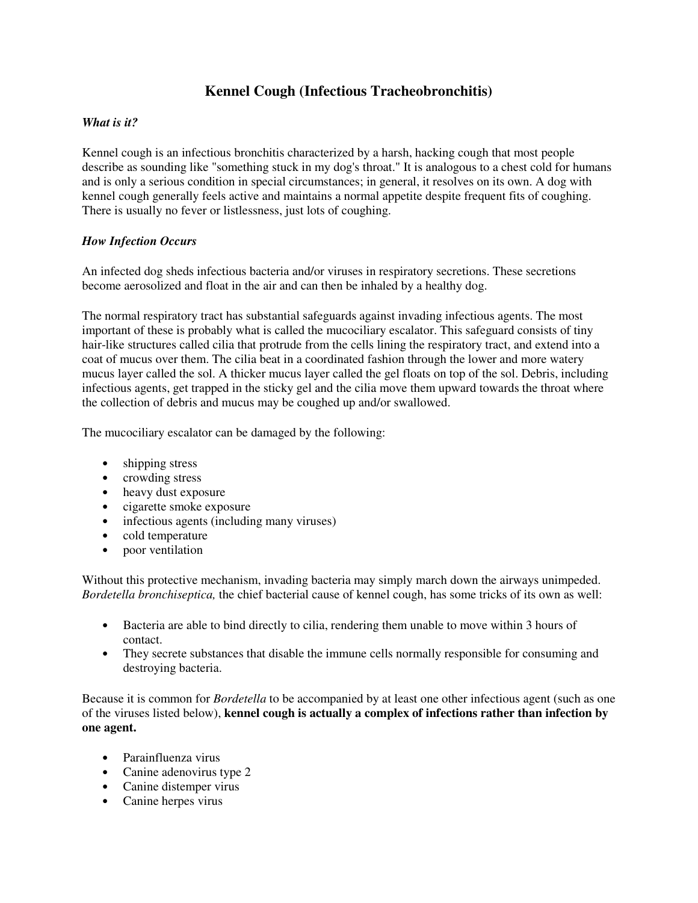# **Kennel Cough (Infectious Tracheobronchitis)**

# *What is it?*

Kennel cough is an infectious bronchitis characterized by a harsh, hacking cough that most people describe as sounding like "something stuck in my dog's throat." It is analogous to a chest cold for humans and is only a serious condition in special circumstances; in general, it resolves on its own. A dog with kennel cough generally feels active and maintains a normal appetite despite frequent fits of coughing. There is usually no fever or listlessness, just lots of coughing.

# *How Infection Occurs*

An infected dog sheds infectious bacteria and/or viruses in respiratory secretions. These secretions become aerosolized and float in the air and can then be inhaled by a healthy dog.

The normal respiratory tract has substantial safeguards against invading infectious agents. The most important of these is probably what is called the mucociliary escalator. This safeguard consists of tiny hair-like structures called cilia that protrude from the cells lining the respiratory tract, and extend into a coat of mucus over them. The cilia beat in a coordinated fashion through the lower and more watery mucus layer called the sol. A thicker mucus layer called the gel floats on top of the sol. Debris, including infectious agents, get trapped in the sticky gel and the cilia move them upward towards the throat where the collection of debris and mucus may be coughed up and/or swallowed.

The mucociliary escalator can be damaged by the following:

- shipping stress
- crowding stress
- heavy dust exposure
- cigarette smoke exposure
- infectious agents (including many viruses)
- cold temperature
- poor ventilation

Without this protective mechanism, invading bacteria may simply march down the airways unimpeded. *Bordetella bronchiseptica,* the chief bacterial cause of kennel cough, has some tricks of its own as well:

- Bacteria are able to bind directly to cilia, rendering them unable to move within 3 hours of contact.
- They secrete substances that disable the immune cells normally responsible for consuming and destroying bacteria.

Because it is common for *Bordetella* to be accompanied by at least one other infectious agent (such as one of the viruses listed below), **kennel cough is actually a complex of infections rather than infection by one agent.**

- Parainfluenza virus
- Canine adenovirus type 2
- Canine distemper virus
- Canine herpes virus